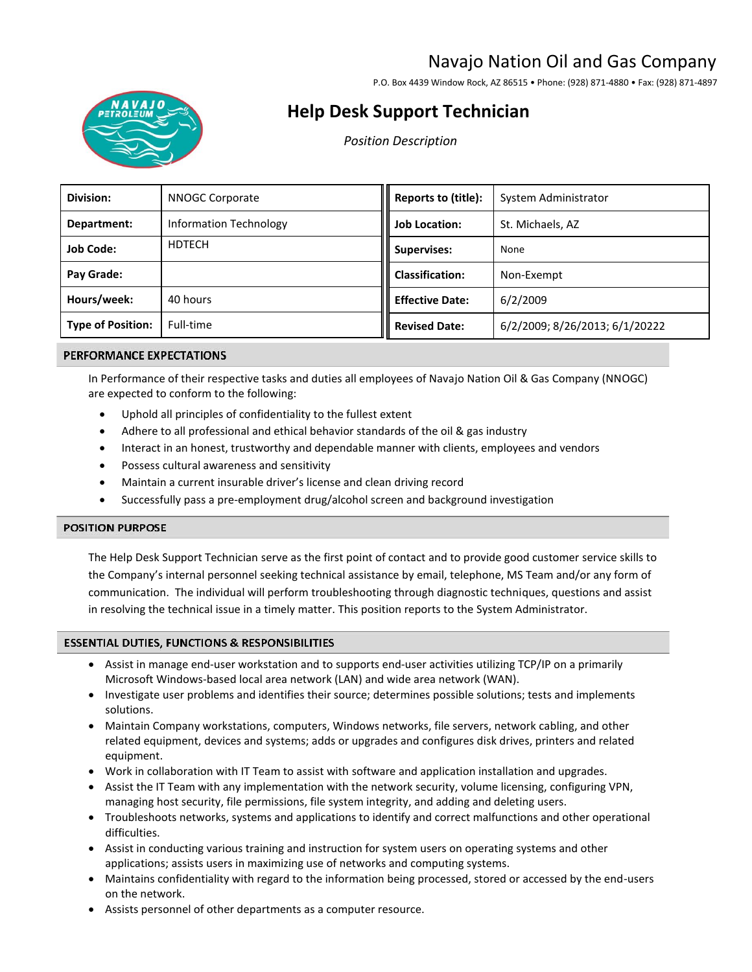# Navajo Nation Oil and Gas Company

P.O. Box 4439 Window Rock, AZ 86515 • Phone: (928) 871-4880 • Fax: (928) 871-4897



# **Help Desk Support Technician**

*Position Description* 

| Division:                | NNOGC Corporate               | Reports to (title):    | System Administrator           |
|--------------------------|-------------------------------|------------------------|--------------------------------|
| Department:              | <b>Information Technology</b> | <b>Job Location:</b>   | St. Michaels, AZ               |
| <b>Job Code:</b>         | <b>HDTECH</b>                 | <b>Supervises:</b>     | None                           |
| Pay Grade:               |                               | <b>Classification:</b> | Non-Exempt                     |
| Hours/week:              | 40 hours                      | <b>Effective Date:</b> | 6/2/2009                       |
| <b>Type of Position:</b> | Full-time                     | <b>Revised Date:</b>   | 6/2/2009; 8/26/2013; 6/1/20222 |

# PERFORMANCE EXPECTATIONS

In Performance of their respective tasks and duties all employees of Navajo Nation Oil & Gas Company (NNOGC) are expected to conform to the following:

- Uphold all principles of confidentiality to the fullest extent
- Adhere to all professional and ethical behavior standards of the oil & gas industry
- Interact in an honest, trustworthy and dependable manner with clients, employees and vendors
- Possess cultural awareness and sensitivity
- Maintain a current insurable driver's license and clean driving record
- Successfully pass a pre-employment drug/alcohol screen and background investigation

# **POSITION PURPOSE**

The Help Desk Support Technician serve as the first point of contact and to provide good customer service skills to the Company's internal personnel seeking technical assistance by email, telephone, MS Team and/or any form of communication. The individual will perform troubleshooting through diagnostic techniques, questions and assist in resolving the technical issue in a timely matter. This position reports to the System Administrator.

# **ESSENTIAL DUTIES, FUNCTIONS & RESPONSIBILITIES**

- Assist in manage end-user workstation and to supports end-user activities utilizing TCP/IP on a primarily Microsoft Windows-based local area network (LAN) and wide area network (WAN).
- Investigate user problems and identifies their source; determines possible solutions; tests and implements solutions.
- Maintain Company workstations, computers, Windows networks, file servers, network cabling, and other related equipment, devices and systems; adds or upgrades and configures disk drives, printers and related equipment.
- Work in collaboration with IT Team to assist with software and application installation and upgrades.
- Assist the IT Team with any implementation with the network security, volume licensing, configuring VPN, managing host security, file permissions, file system integrity, and adding and deleting users.
- Troubleshoots networks, systems and applications to identify and correct malfunctions and other operational difficulties.
- Assist in conducting various training and instruction for system users on operating systems and other applications; assists users in maximizing use of networks and computing systems.
- Maintains confidentiality with regard to the information being processed, stored or accessed by the end-users on the network.
- Assists personnel of other departments as a computer resource.